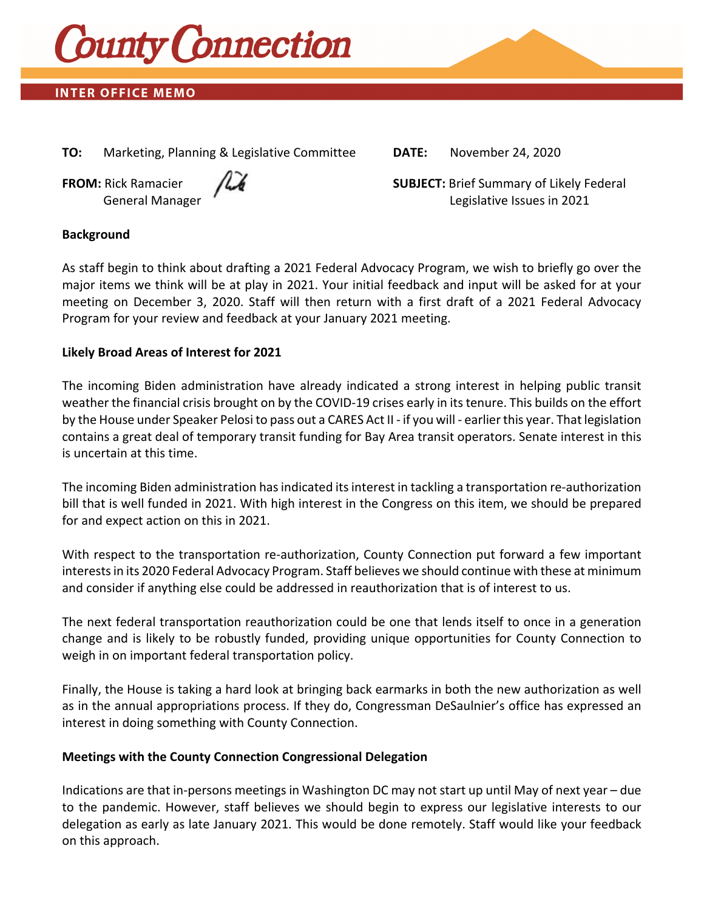

# **INTER OFFICE MEMO**

**TO:** Marketing, Planning & Legislative Committee **DATE:** November 24, 2020



**FROM:** Rick Ramacier  $\sqrt{2}$  **SUBJECT:** Brief Summary of Likely Federal General Manager **The Contract of Contract Contract Contract Contract Contract Contract Contract Contract Contract Contract Contract Contract Contract Contract Contract Contract Contract Contract Contract Contract Contract** 

### **Background**

As staff begin to think about drafting a 2021 Federal Advocacy Program, we wish to briefly go over the major items we think will be at play in 2021. Your initial feedback and input will be asked for at your meeting on December 3, 2020. Staff will then return with a first draft of a 2021 Federal Advocacy Program for your review and feedback at your January 2021 meeting.

### **Likely Broad Areas of Interest for 2021**

The incoming Biden administration have already indicated a strong interest in helping public transit weather the financial crisis brought on by the COVID-19 crises early in its tenure. This builds on the effort by the House under Speaker Pelosi to pass out a CARES Act II ‐ if you will ‐ earlier this year. That legislation contains a great deal of temporary transit funding for Bay Area transit operators. Senate interest in this is uncertain at this time.

The incoming Biden administration has indicated its interest in tackling a transportation re-authorization bill that is well funded in 2021. With high interest in the Congress on this item, we should be prepared for and expect action on this in 2021.

With respect to the transportation re-authorization, County Connection put forward a few important interestsin its 2020 Federal Advocacy Program. Staff believes we should continue with these at minimum and consider if anything else could be addressed in reauthorization that is of interest to us.

The next federal transportation reauthorization could be one that lends itself to once in a generation change and is likely to be robustly funded, providing unique opportunities for County Connection to weigh in on important federal transportation policy.

Finally, the House is taking a hard look at bringing back earmarks in both the new authorization as well as in the annual appropriations process. If they do, Congressman DeSaulnier's office has expressed an interest in doing something with County Connection.

### **Meetings with the County Connection Congressional Delegation**

Indications are that in‐persons meetings in Washington DC may not start up until May of next year – due to the pandemic. However, staff believes we should begin to express our legislative interests to our delegation as early as late January 2021. This would be done remotely. Staff would like your feedback on this approach.